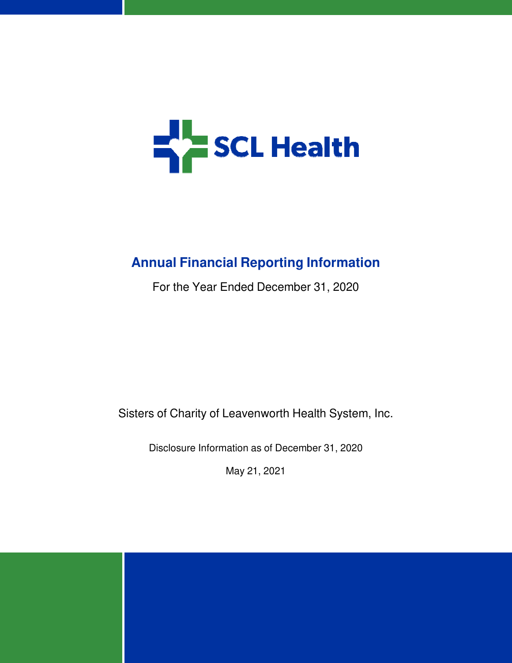

# **Annual Financial Reporting Information**

For the Year Ended December 31, 2020

Sisters of Charity of Leavenworth Health System, Inc.

Disclosure Information as of December 31, 2020

May 21, 2021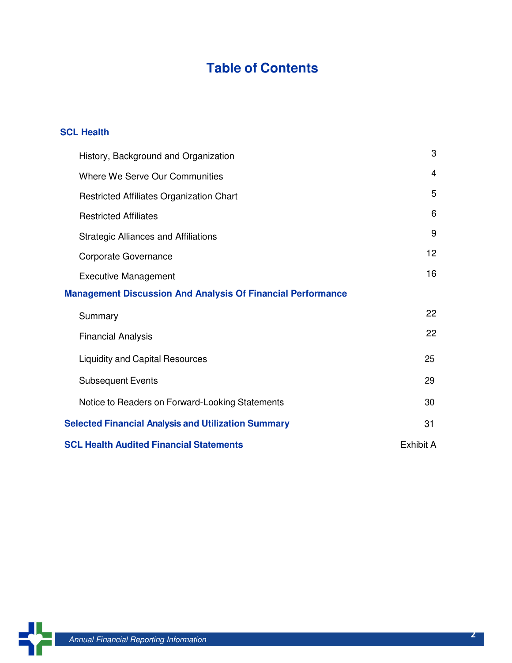# **Table of Contents**

### **SCL Health**

| History, Background and Organization                               | 3  |  |  |
|--------------------------------------------------------------------|----|--|--|
| Where We Serve Our Communities                                     | 4  |  |  |
| Restricted Affiliates Organization Chart                           | 5  |  |  |
| <b>Restricted Affiliates</b>                                       | 6  |  |  |
| <b>Strategic Alliances and Affiliations</b>                        | 9  |  |  |
| Corporate Governance                                               | 12 |  |  |
| <b>Executive Management</b>                                        | 16 |  |  |
| <b>Management Discussion And Analysis Of Financial Performance</b> |    |  |  |
| Summary                                                            | 22 |  |  |
| <b>Financial Analysis</b>                                          | 22 |  |  |
| <b>Liquidity and Capital Resources</b>                             | 25 |  |  |
| <b>Subsequent Events</b>                                           | 29 |  |  |
| Notice to Readers on Forward-Looking Statements                    | 30 |  |  |
| <b>Selected Financial Analysis and Utilization Summary</b>         | 31 |  |  |
| <b>SCL Health Audited Financial Statements</b><br>Exhibit A        |    |  |  |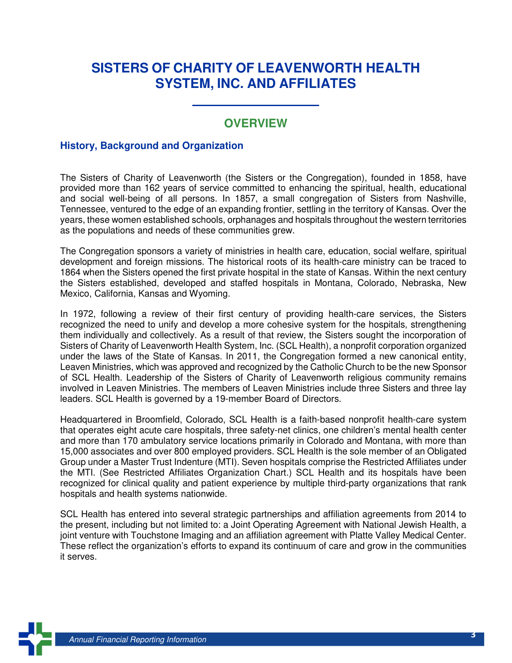## **SISTERS OF CHARITY OF LEAVENWORTH HEALTH SYSTEM, INC. AND AFFILIATES**

 $\mathcal{L}=\{1,2,3,4,5\}$ 

### **OVERVIEW**

#### **History, Background and Organization**

The Sisters of Charity of Leavenworth (the Sisters or the Congregation), founded in 1858, have provided more than 162 years of service committed to enhancing the spiritual, health, educational and social well-being of all persons. In 1857, a small congregation of Sisters from Nashville, Tennessee, ventured to the edge of an expanding frontier, settling in the territory of Kansas. Over the years, these women established schools, orphanages and hospitals throughout the western territories as the populations and needs of these communities grew.

The Congregation sponsors a variety of ministries in health care, education, social welfare, spiritual development and foreign missions. The historical roots of its health-care ministry can be traced to 1864 when the Sisters opened the first private hospital in the state of Kansas. Within the next century the Sisters established, developed and staffed hospitals in Montana, Colorado, Nebraska, New Mexico, California, Kansas and Wyoming.

In 1972, following a review of their first century of providing health-care services, the Sisters recognized the need to unify and develop a more cohesive system for the hospitals, strengthening them individually and collectively. As a result of that review, the Sisters sought the incorporation of Sisters of Charity of Leavenworth Health System, Inc. (SCL Health), a nonprofit corporation organized under the laws of the State of Kansas. In 2011, the Congregation formed a new canonical entity, Leaven Ministries, which was approved and recognized by the Catholic Church to be the new Sponsor of SCL Health. Leadership of the Sisters of Charity of Leavenworth religious community remains involved in Leaven Ministries. The members of Leaven Ministries include three Sisters and three lay leaders. SCL Health is governed by a 19-member Board of Directors.

Headquartered in Broomfield, Colorado, SCL Health is a faith-based nonprofit health-care system that operates eight acute care hospitals, three safety-net clinics, one children's mental health center and more than 170 ambulatory service locations primarily in Colorado and Montana, with more than 15,000 associates and over 800 employed providers. SCL Health is the sole member of an Obligated Group under a Master Trust Indenture (MTI). Seven hospitals comprise the Restricted Affiliates under the MTI. (See Restricted Affiliates Organization Chart.) SCL Health and its hospitals have been recognized for clinical quality and patient experience by multiple third-party organizations that rank hospitals and health systems nationwide.

SCL Health has entered into several strategic partnerships and affiliation agreements from 2014 to the present, including but not limited to: a Joint Operating Agreement with National Jewish Health, a joint venture with Touchstone Imaging and an affiliation agreement with Platte Valley Medical Center. These reflect the organization's efforts to expand its continuum of care and grow in the communities it serves.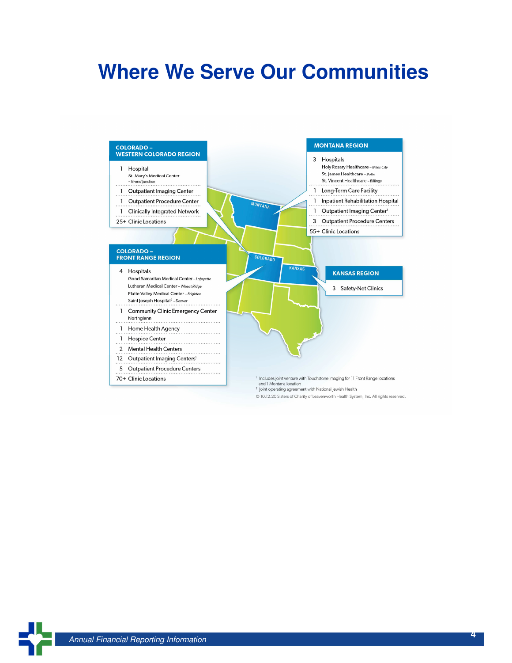# **Where We Serve Our Communities**



@ 10.12.20 Sisters of Charity of Leavenworth Health System, Inc. All rights reserved.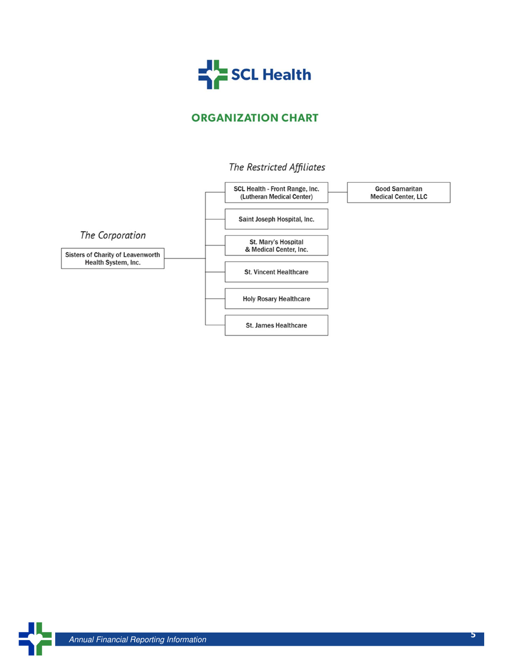

### **ORGANIZATION CHART**

### The Restricted Affiliates

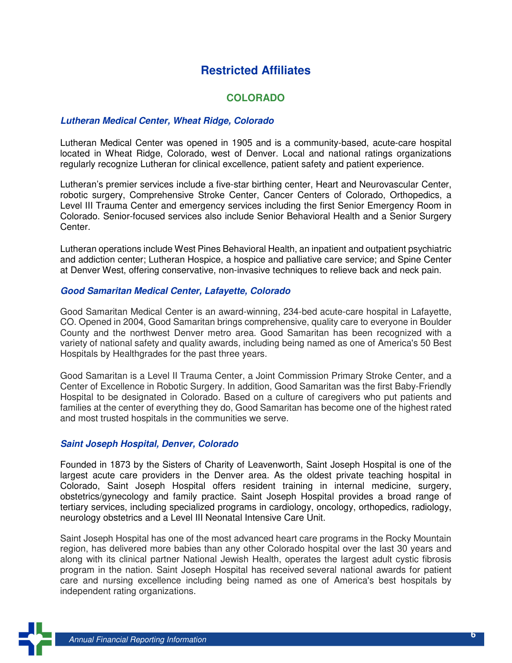### **Restricted Affiliates**

#### **COLORADO**

#### **Lutheran Medical Center, Wheat Ridge, Colorado**

Lutheran Medical Center was opened in 1905 and is a community-based, acute-care hospital located in Wheat Ridge, Colorado, west of Denver. Local and national ratings organizations regularly recognize Lutheran for clinical excellence, patient safety and patient experience.

Lutheran's premier services include a five-star birthing center, Heart and Neurovascular Center, robotic surgery, Comprehensive Stroke Center, Cancer Centers of Colorado, Orthopedics, a Level III Trauma Center and emergency services including the first Senior Emergency Room in Colorado. Senior-focused services also include Senior Behavioral Health and a Senior Surgery Center.

Lutheran operations include West Pines Behavioral Health, an inpatient and outpatient psychiatric and addiction center; Lutheran Hospice, a hospice and palliative care service; and Spine Center at Denver West, offering conservative, non-invasive techniques to relieve back and neck pain.

#### **Good Samaritan Medical Center, Lafayette, Colorado**

Good Samaritan Medical Center is an award-winning, 234-bed acute-care hospital in Lafayette, CO. Opened in 2004, Good Samaritan brings comprehensive, quality care to everyone in Boulder County and the northwest Denver metro area. Good Samaritan has been recognized with a variety of national safety and quality awards, including being named as one of America's 50 Best Hospitals by Healthgrades for the past three years.

Good Samaritan is a Level II Trauma Center, a Joint Commission Primary Stroke Center, and a Center of Excellence in Robotic Surgery. In addition, Good Samaritan was the first Baby-Friendly Hospital to be designated in Colorado. Based on a culture of caregivers who put patients and families at the center of everything they do, Good Samaritan has become one of the highest rated and most trusted hospitals in the communities we serve.

#### **Saint Joseph Hospital, Denver, Colorado**

Founded in 1873 by the Sisters of Charity of Leavenworth, Saint Joseph Hospital is one of the largest acute care providers in the Denver area. As the oldest private teaching hospital in Colorado, Saint Joseph Hospital offers resident training in internal medicine, surgery, obstetrics/gynecology and family practice. Saint Joseph Hospital provides a broad range of tertiary services, including specialized programs in cardiology, oncology, orthopedics, radiology, neurology obstetrics and a Level III Neonatal Intensive Care Unit.

Saint Joseph Hospital has one of the most advanced heart care programs in the Rocky Mountain region, has delivered more babies than any other Colorado hospital over the last 30 years and along with its clinical partner National Jewish Health, operates the largest adult cystic fibrosis program in the nation. Saint Joseph Hospital has received several national awards for patient care and nursing excellence including being named as one of America's best hospitals by independent rating organizations.

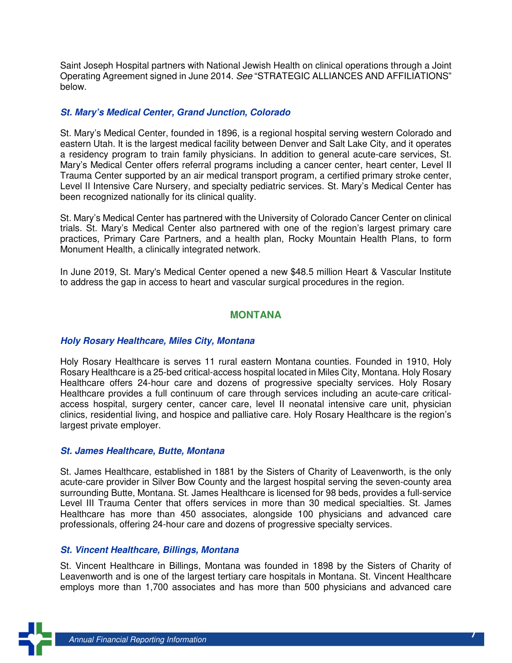Saint Joseph Hospital partners with National Jewish Health on clinical operations through a Joint Operating Agreement signed in June 2014. See "STRATEGIC ALLIANCES AND AFFILIATIONS" below.

#### **St. Mary's Medical Center, Grand Junction, Colorado**

St. Mary's Medical Center, founded in 1896, is a regional hospital serving western Colorado and eastern Utah. It is the largest medical facility between Denver and Salt Lake City, and it operates a residency program to train family physicians. In addition to general acute-care services, St. Mary's Medical Center offers referral programs including a cancer center, heart center, Level II Trauma Center supported by an air medical transport program, a certified primary stroke center, Level II Intensive Care Nursery, and specialty pediatric services. St. Mary's Medical Center has been recognized nationally for its clinical quality.

St. Mary's Medical Center has partnered with the University of Colorado Cancer Center on clinical trials. St. Mary's Medical Center also partnered with one of the region's largest primary care practices, Primary Care Partners, and a health plan, Rocky Mountain Health Plans, to form Monument Health, a clinically integrated network.

In June 2019, St. Mary's Medical Center opened a new \$48.5 million Heart & Vascular Institute to address the gap in access to heart and vascular surgical procedures in the region.

#### **MONTANA**

#### **Holy Rosary Healthcare, Miles City, Montana**

Holy Rosary Healthcare is serves 11 rural eastern Montana counties. Founded in 1910, Holy Rosary Healthcare is a 25-bed critical-access hospital located in Miles City, Montana. Holy Rosary Healthcare offers 24-hour care and dozens of progressive specialty services. Holy Rosary Healthcare provides a full continuum of care through services including an acute-care criticalaccess hospital, surgery center, cancer care, level II neonatal intensive care unit, physician clinics, residential living, and hospice and palliative care. Holy Rosary Healthcare is the region's largest private employer.

#### **St. James Healthcare, Butte, Montana**

St. James Healthcare, established in 1881 by the Sisters of Charity of Leavenworth, is the only acute-care provider in Silver Bow County and the largest hospital serving the seven-county area surrounding Butte, Montana. St. James Healthcare is licensed for 98 beds, provides a full-service Level III Trauma Center that offers services in more than 30 medical specialties. St. James Healthcare has more than 450 associates, alongside 100 physicians and advanced care professionals, offering 24-hour care and dozens of progressive specialty services.

#### **St. Vincent Healthcare, Billings, Montana**

St. Vincent Healthcare in Billings, Montana was founded in 1898 by the Sisters of Charity of Leavenworth and is one of the largest tertiary care hospitals in Montana. St. Vincent Healthcare employs more than 1,700 associates and has more than 500 physicians and advanced care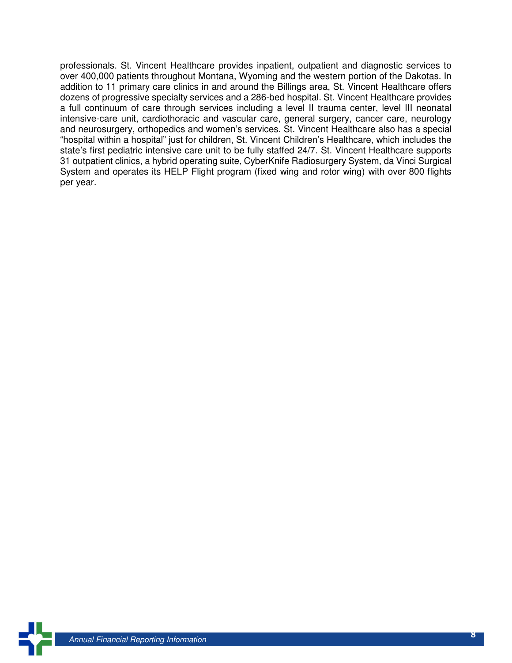professionals. St. Vincent Healthcare provides inpatient, outpatient and diagnostic services to over 400,000 patients throughout Montana, Wyoming and the western portion of the Dakotas. In addition to 11 primary care clinics in and around the Billings area, St. Vincent Healthcare offers dozens of progressive specialty services and a 286-bed hospital. St. Vincent Healthcare provides a full continuum of care through services including a level II trauma center, level III neonatal intensive-care unit, cardiothoracic and vascular care, general surgery, cancer care, neurology and neurosurgery, orthopedics and women's services. St. Vincent Healthcare also has a special "hospital within a hospital" just for children, St. Vincent Children's Healthcare, which includes the state's first pediatric intensive care unit to be fully staffed 24/7. St. Vincent Healthcare supports 31 outpatient clinics, a hybrid operating suite, CyberKnife Radiosurgery System, da Vinci Surgical System and operates its HELP Flight program (fixed wing and rotor wing) with over 800 flights per year.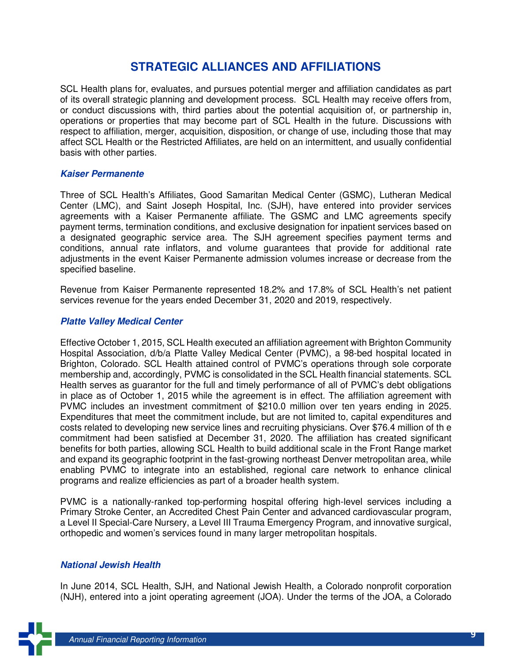### **STRATEGIC ALLIANCES AND AFFILIATIONS**

SCL Health plans for, evaluates, and pursues potential merger and affiliation candidates as part of its overall strategic planning and development process. SCL Health may receive offers from, or conduct discussions with, third parties about the potential acquisition of, or partnership in, operations or properties that may become part of SCL Health in the future. Discussions with respect to affiliation, merger, acquisition, disposition, or change of use, including those that may affect SCL Health or the Restricted Affiliates, are held on an intermittent, and usually confidential basis with other parties.

#### **Kaiser Permanente**

Three of SCL Health's Affiliates, Good Samaritan Medical Center (GSMC), Lutheran Medical Center (LMC), and Saint Joseph Hospital, Inc. (SJH), have entered into provider services agreements with a Kaiser Permanente affiliate. The GSMC and LMC agreements specify payment terms, termination conditions, and exclusive designation for inpatient services based on a designated geographic service area. The SJH agreement specifies payment terms and conditions, annual rate inflators, and volume guarantees that provide for additional rate adjustments in the event Kaiser Permanente admission volumes increase or decrease from the specified baseline.

Revenue from Kaiser Permanente represented 18.2% and 17.8% of SCL Health's net patient services revenue for the years ended December 31, 2020 and 2019, respectively.

#### **Platte Valley Medical Center**

Effective October 1, 2015, SCL Health executed an affiliation agreement with Brighton Community Hospital Association, d/b/a Platte Valley Medical Center (PVMC), a 98-bed hospital located in Brighton, Colorado. SCL Health attained control of PVMC's operations through sole corporate membership and, accordingly, PVMC is consolidated in the SCL Health financial statements. SCL Health serves as guarantor for the full and timely performance of all of PVMC's debt obligations in place as of October 1, 2015 while the agreement is in effect. The affiliation agreement with PVMC includes an investment commitment of \$210.0 million over ten years ending in 2025. Expenditures that meet the commitment include, but are not limited to, capital expenditures and costs related to developing new service lines and recruiting physicians. Over \$76.4 million of th e commitment had been satisfied at December 31, 2020. The affiliation has created significant benefits for both parties, allowing SCL Health to build additional scale in the Front Range market and expand its geographic footprint in the fast-growing northeast Denver metropolitan area, while enabling PVMC to integrate into an established, regional care network to enhance clinical programs and realize efficiencies as part of a broader health system.

PVMC is a nationally-ranked top-performing hospital offering high-level services including a Primary Stroke Center, an Accredited Chest Pain Center and advanced cardiovascular program, a Level II Special-Care Nursery, a Level III Trauma Emergency Program, and innovative surgical, orthopedic and women's services found in many larger metropolitan hospitals.

#### **National Jewish Health**

In June 2014, SCL Health, SJH, and National Jewish Health, a Colorado nonprofit corporation (NJH), entered into a joint operating agreement (JOA). Under the terms of the JOA, a Colorado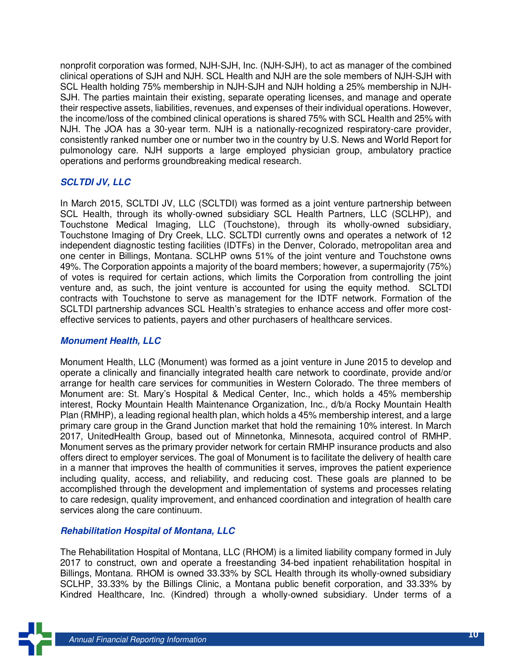nonprofit corporation was formed, NJH-SJH, Inc. (NJH-SJH), to act as manager of the combined clinical operations of SJH and NJH. SCL Health and NJH are the sole members of NJH-SJH with SCL Health holding 75% membership in NJH-SJH and NJH holding a 25% membership in NJH-SJH. The parties maintain their existing, separate operating licenses, and manage and operate their respective assets, liabilities, revenues, and expenses of their individual operations. However, the income/loss of the combined clinical operations is shared 75% with SCL Health and 25% with NJH. The JOA has a 30-year term. NJH is a nationally-recognized respiratory-care provider, consistently ranked number one or number two in the country by U.S. News and World Report for pulmonology care. NJH supports a large employed physician group, ambulatory practice operations and performs groundbreaking medical research.

#### **SCLTDI JV, LLC**

In March 2015, SCLTDI JV, LLC (SCLTDI) was formed as a joint venture partnership between SCL Health, through its wholly-owned subsidiary SCL Health Partners, LLC (SCLHP), and Touchstone Medical Imaging, LLC (Touchstone), through its wholly-owned subsidiary, Touchstone Imaging of Dry Creek, LLC. SCLTDI currently owns and operates a network of 12 independent diagnostic testing facilities (IDTFs) in the Denver, Colorado, metropolitan area and one center in Billings, Montana. SCLHP owns 51% of the joint venture and Touchstone owns 49%. The Corporation appoints a majority of the board members; however, a supermajority (75%) of votes is required for certain actions, which limits the Corporation from controlling the joint venture and, as such, the joint venture is accounted for using the equity method. SCLTDI contracts with Touchstone to serve as management for the IDTF network. Formation of the SCLTDI partnership advances SCL Health's strategies to enhance access and offer more costeffective services to patients, payers and other purchasers of healthcare services.

#### **Monument Health, LLC**

Monument Health, LLC (Monument) was formed as a joint venture in June 2015 to develop and operate a clinically and financially integrated health care network to coordinate, provide and/or arrange for health care services for communities in Western Colorado. The three members of Monument are: St. Mary's Hospital & Medical Center, Inc., which holds a 45% membership interest, Rocky Mountain Health Maintenance Organization, Inc., d/b/a Rocky Mountain Health Plan (RMHP), a leading regional health plan, which holds a 45% membership interest, and a large primary care group in the Grand Junction market that hold the remaining 10% interest. In March 2017, UnitedHealth Group, based out of Minnetonka, Minnesota, acquired control of RMHP. Monument serves as the primary provider network for certain RMHP insurance products and also offers direct to employer services. The goal of Monument is to facilitate the delivery of health care in a manner that improves the health of communities it serves, improves the patient experience including quality, access, and reliability, and reducing cost. These goals are planned to be accomplished through the development and implementation of systems and processes relating to care redesign, quality improvement, and enhanced coordination and integration of health care services along the care continuum.

#### **Rehabilitation Hospital of Montana, LLC**

The Rehabilitation Hospital of Montana, LLC (RHOM) is a limited liability company formed in July 2017 to construct, own and operate a freestanding 34-bed inpatient rehabilitation hospital in Billings, Montana. RHOM is owned 33.33% by SCL Health through its wholly-owned subsidiary SCLHP, 33.33% by the Billings Clinic, a Montana public benefit corporation, and 33.33% by Kindred Healthcare, Inc. (Kindred) through a wholly-owned subsidiary. Under terms of a

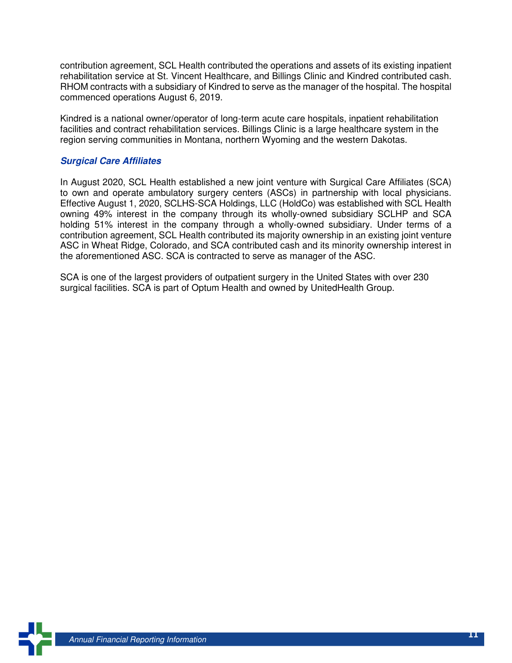contribution agreement, SCL Health contributed the operations and assets of its existing inpatient rehabilitation service at St. Vincent Healthcare, and Billings Clinic and Kindred contributed cash. RHOM contracts with a subsidiary of Kindred to serve as the manager of the hospital. The hospital commenced operations August 6, 2019.

Kindred is a national owner/operator of long-term acute care hospitals, inpatient rehabilitation facilities and contract rehabilitation services. Billings Clinic is a large healthcare system in the region serving communities in Montana, northern Wyoming and the western Dakotas.

#### **Surgical Care Affiliates**

In August 2020, SCL Health established a new joint venture with Surgical Care Affiliates (SCA) to own and operate ambulatory surgery centers (ASCs) in partnership with local physicians. Effective August 1, 2020, SCLHS-SCA Holdings, LLC (HoldCo) was established with SCL Health owning 49% interest in the company through its wholly-owned subsidiary SCLHP and SCA holding 51% interest in the company through a wholly-owned subsidiary. Under terms of a contribution agreement, SCL Health contributed its majority ownership in an existing joint venture ASC in Wheat Ridge, Colorado, and SCA contributed cash and its minority ownership interest in the aforementioned ASC. SCA is contracted to serve as manager of the ASC.

SCA is one of the largest providers of outpatient surgery in the United States with over 230 surgical facilities. SCA is part of Optum Health and owned by UnitedHealth Group.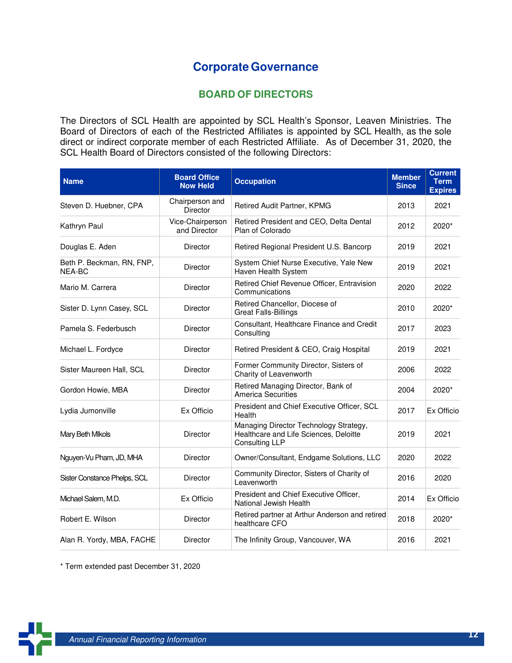### **Corporate Governance**

#### **BOARD OF DIRECTORS**

The Directors of SCL Health are appointed by SCL Health's Sponsor, Leaven Ministries. The Board of Directors of each of the Restricted Affiliates is appointed by SCL Health, as the sole direct or indirect corporate member of each Restricted Affiliate. As of December 31, 2020, the SCL Health Board of Directors consisted of the following Directors:

| <b>Name</b>                         | <b>Board Office</b><br><b>Now Held</b> | <b>Occupation</b>                                                                                  | <b>Member</b><br><b>Since</b> | <b>Current</b><br><b>Term</b><br><b>Expires</b> |
|-------------------------------------|----------------------------------------|----------------------------------------------------------------------------------------------------|-------------------------------|-------------------------------------------------|
| Steven D. Huebner, CPA              | Chairperson and<br>Director            | Retired Audit Partner, KPMG                                                                        | 2013                          | 2021                                            |
| Kathryn Paul                        | Vice-Chairperson<br>and Director       | Retired President and CEO, Delta Dental<br>Plan of Colorado                                        | 2012                          | 2020*                                           |
| Douglas E. Aden                     | Director                               | Retired Regional President U.S. Bancorp                                                            | 2019                          | 2021                                            |
| Beth P. Beckman, RN, FNP,<br>NEA-BC | Director                               | System Chief Nurse Executive, Yale New<br>Haven Health System                                      | 2019                          | 2021                                            |
| Mario M. Carrera                    | <b>Director</b>                        | Retired Chief Revenue Officer, Entravision<br>Communications                                       | 2020                          | 2022                                            |
| Sister D. Lynn Casey, SCL           | <b>Director</b>                        | Retired Chancellor, Diocese of<br><b>Great Falls-Billings</b>                                      | 2010                          | 2020*                                           |
| Pamela S. Federbusch<br>Director    |                                        | Consultant, Healthcare Finance and Credit<br>Consulting                                            | 2017                          | 2023                                            |
| Michael L. Fordyce                  | Director                               | Retired President & CEO, Craig Hospital                                                            | 2019                          | 2021                                            |
| Sister Maureen Hall, SCL            | Director                               | Former Community Director, Sisters of<br>Charity of Leavenworth                                    | 2006                          | 2022                                            |
| Gordon Howie, MBA                   | Director                               | Retired Managing Director, Bank of<br><b>America Securities</b>                                    | 2004                          | 2020*                                           |
| Lydia Jumonville                    | Ex Officio                             | President and Chief Executive Officer, SCL<br>Health                                               | 2017                          | Ex Officio                                      |
| Mary Beth Mikols                    | Director                               | Managing Director Technology Strategy,<br>Healthcare and Life Sciences, Deloitte<br>Consulting LLP | 2019                          | 2021                                            |
| Nguyen-Vu Pham, JD, MHA             | Director                               | Owner/Consultant, Endgame Solutions, LLC                                                           | 2020                          | 2022                                            |
| Sister Constance Phelps, SCL        | <b>Director</b>                        | Community Director, Sisters of Charity of<br>Leavenworth                                           | 2016                          | 2020                                            |
| Michael Salem, M.D.                 | Ex Officio                             | President and Chief Executive Officer,<br>National Jewish Health                                   | 2014                          | Ex Officio                                      |
| Robert E. Wilson                    | <b>Director</b>                        | Retired partner at Arthur Anderson and retired<br>healthcare CFO                                   | 2018                          | 2020*                                           |
| Alan R. Yordy, MBA, FACHE           | Director                               | The Infinity Group, Vancouver, WA                                                                  | 2016                          | 2021                                            |

\* Term extended past December 31, 2020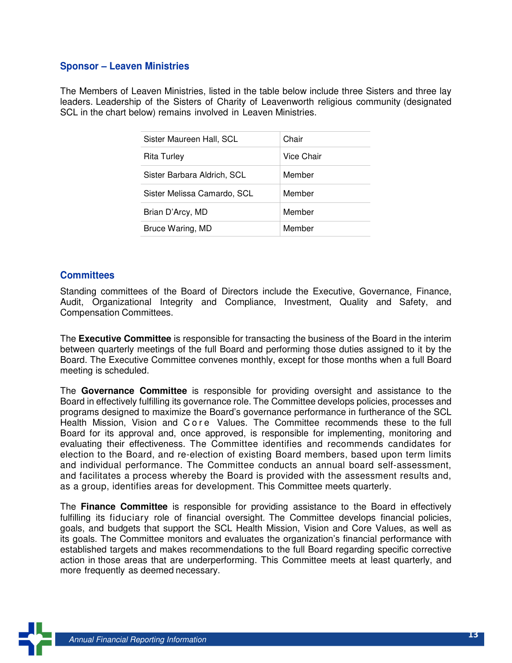#### **Sponsor – Leaven Ministries**

The Members of Leaven Ministries, listed in the table below include three Sisters and three lay leaders. Leadership of the Sisters of Charity of Leavenworth religious community (designated SCL in the chart below) remains involved in Leaven Ministries.

| Sister Maureen Hall, SCL    | Chair      |
|-----------------------------|------------|
| Rita Turley                 | Vice Chair |
| Sister Barbara Aldrich, SCL | Member     |
| Sister Melissa Camardo, SCL | Member     |
| Brian D'Arcy, MD            | Member     |
| Bruce Waring, MD            | Member     |

#### **Committees**

Standing committees of the Board of Directors include the Executive, Governance, Finance, Audit, Organizational Integrity and Compliance, Investment, Quality and Safety, and Compensation Committees.

The **Executive Committee** is responsible for transacting the business of the Board in the interim between quarterly meetings of the full Board and performing those duties assigned to it by the Board. The Executive Committee convenes monthly, except for those months when a full Board meeting is scheduled.

The **Governance Committee** is responsible for providing oversight and assistance to the Board in effectively fulfilling its governance role. The Committee develops policies, processes and programs designed to maximize the Board's governance performance in furtherance of the SCL Health Mission, Vision and C o r e Values. The Committee recommends these to the full Board for its approval and, once approved, is responsible for implementing, monitoring and evaluating their effectiveness. The Committee identifies and recommends candidates for election to the Board, and re-election of existing Board members, based upon term limits and individual performance. The Committee conducts an annual board self-assessment, and facilitates a process whereby the Board is provided with the assessment results and, as a group, identifies areas for development. This Committee meets quarterly.

The **Finance Committee** is responsible for providing assistance to the Board in effectively fulfilling its fiduciary role of financial oversight. The Committee develops financial policies, goals, and budgets that support the SCL Health Mission, Vision and Core Values, as well as its goals. The Committee monitors and evaluates the organization's financial performance with established targets and makes recommendations to the full Board regarding specific corrective action in those areas that are underperforming. This Committee meets at least quarterly, and more frequently as deemed necessary.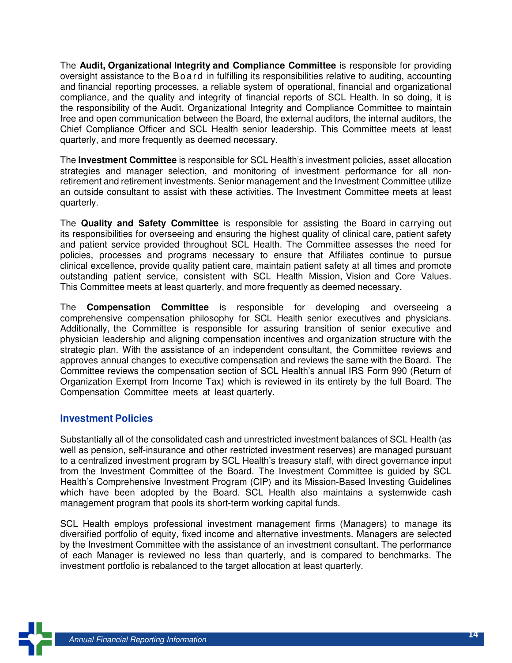The **Audit, Organizational Integrity and Compliance Committee** is responsible for providing oversight assistance to the Bo ard in fulfilling its responsibilities relative to auditing, accounting and financial reporting processes, a reliable system of operational, financial and organizational compliance, and the quality and integrity of financial reports of SCL Health. In so doing, it is the responsibility of the Audit, Organizational Integrity and Compliance Committee to maintain free and open communication between the Board, the external auditors, the internal auditors, the Chief Compliance Officer and SCL Health senior leadership. This Committee meets at least quarterly, and more frequently as deemed necessary.

The **Investment Committee** is responsible for SCL Health's investment policies, asset allocation strategies and manager selection, and monitoring of investment performance for all nonretirement and retirement investments. Senior management and the Investment Committee utilize an outside consultant to assist with these activities. The Investment Committee meets at least quarterly.

The **Quality and Safety Committee** is responsible for assisting the Board in carrying out its responsibilities for overseeing and ensuring the highest quality of clinical care, patient safety and patient service provided throughout SCL Health. The Committee assesses the need for policies, processes and programs necessary to ensure that Affiliates continue to pursue clinical excellence, provide quality patient care, maintain patient safety at all times and promote outstanding patient service, consistent with SCL Health Mission, Vision and Core Values. This Committee meets at least quarterly, and more frequently as deemed necessary.

The **Compensation Committee** is responsible for developing and overseeing a comprehensive compensation philosophy for SCL Health senior executives and physicians. Additionally, the Committee is responsible for assuring transition of senior executive and physician leadership and aligning compensation incentives and organization structure with the strategic plan. With the assistance of an independent consultant, the Committee reviews and approves annual changes to executive compensation and reviews the same with the Board. The Committee reviews the compensation section of SCL Health's annual IRS Form 990 (Return of Organization Exempt from Income Tax) which is reviewed in its entirety by the full Board. The Compensation Committee meets at least quarterly.

#### **Investment Policies**

Substantially all of the consolidated cash and unrestricted investment balances of SCL Health (as well as pension, self-insurance and other restricted investment reserves) are managed pursuant to a centralized investment program by SCL Health's treasury staff, with direct governance input from the Investment Committee of the Board. The Investment Committee is guided by SCL Health's Comprehensive Investment Program (CIP) and its Mission-Based Investing Guidelines which have been adopted by the Board. SCL Health also maintains a systemwide cash management program that pools its short-term working capital funds.

SCL Health employs professional investment management firms (Managers) to manage its diversified portfolio of equity, fixed income and alternative investments. Managers are selected by the Investment Committee with the assistance of an investment consultant. The performance of each Manager is reviewed no less than quarterly, and is compared to benchmarks. The investment portfolio is rebalanced to the target allocation at least quarterly.

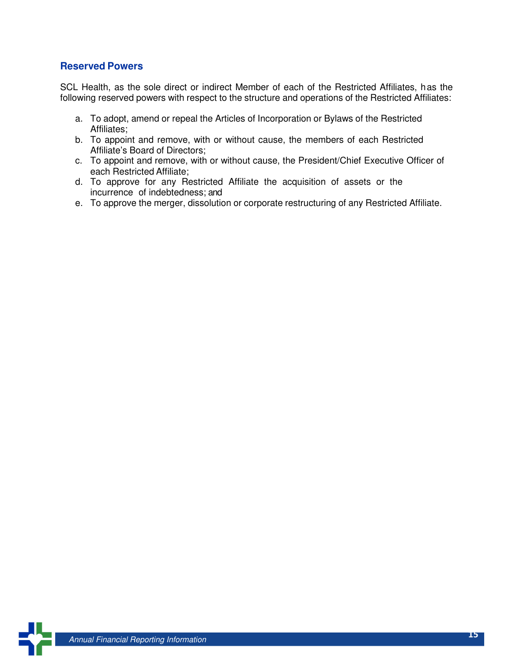#### **Reserved Powers**

SCL Health, as the sole direct or indirect Member of each of the Restricted Affiliates, has the following reserved powers with respect to the structure and operations of the Restricted Affiliates:

- a. To adopt, amend or repeal the Articles of Incorporation or Bylaws of the Restricted Affiliates;
- b. To appoint and remove, with or without cause, the members of each Restricted Affiliate's Board of Directors;
- c. To appoint and remove, with or without cause, the President/Chief Executive Officer of each Restricted Affiliate;
- d. To approve for any Restricted Affiliate the acquisition of assets or the incurrence of indebtedness; and
- e. To approve the merger, dissolution or corporate restructuring of any Restricted Affiliate.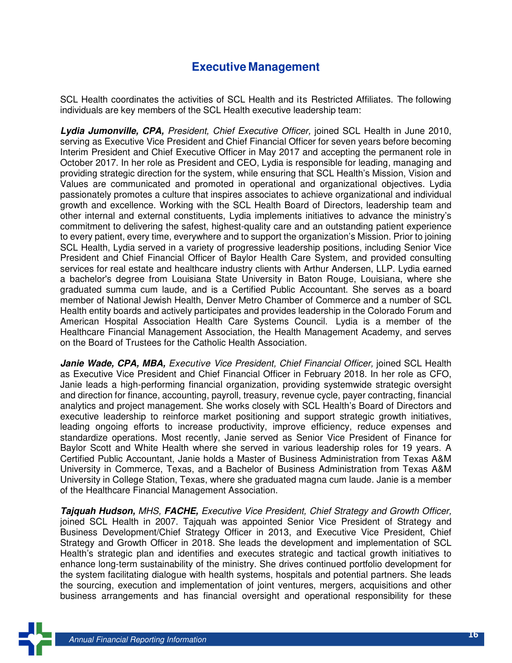### **Executive Management**

SCL Health coordinates the activities of SCL Health and its Restricted Affiliates. The following individuals are key members of the SCL Health executive leadership team:

**Lydia Jumonville, CPA,** President, Chief Executive Officer, joined SCL Health in June 2010, serving as Executive Vice President and Chief Financial Officer for seven years before becoming Interim President and Chief Executive Officer in May 2017 and accepting the permanent role in October 2017. In her role as President and CEO, Lydia is responsible for leading, managing and providing strategic direction for the system, while ensuring that SCL Health's Mission, Vision and Values are communicated and promoted in operational and organizational objectives. Lydia passionately promotes a culture that inspires associates to achieve organizational and individual growth and excellence. Working with the SCL Health Board of Directors, leadership team and other internal and external constituents, Lydia implements initiatives to advance the ministry's commitment to delivering the safest, highest-quality care and an outstanding patient experience to every patient, every time, everywhere and to support the organization's Mission. Prior to joining SCL Health, Lydia served in a variety of progressive leadership positions, including Senior Vice President and Chief Financial Officer of Baylor Health Care System, and provided consulting services for real estate and healthcare industry clients with Arthur Andersen, LLP. Lydia earned a bachelor's degree from Louisiana State University in Baton Rouge, Louisiana, where she graduated summa cum laude, and is a Certified Public Accountant. She serves as a board member of National Jewish Health, Denver Metro Chamber of Commerce and a number of SCL Health entity boards and actively participates and provides leadership in the Colorado Forum and American Hospital Association Health Care Systems Council. Lydia is a member of the Healthcare Financial Management Association, the Health Management Academy, and serves on the Board of Trustees for the Catholic Health Association.

Janie Wade, CPA, MBA, Executive Vice President, Chief Financial Officer, joined SCL Health as Executive Vice President and Chief Financial Officer in February 2018. In her role as CFO, Janie leads a high-performing financial organization, providing systemwide strategic oversight and direction for finance, accounting, payroll, treasury, revenue cycle, payer contracting, financial analytics and project management. She works closely with SCL Health's Board of Directors and executive leadership to reinforce market positioning and support strategic growth initiatives, leading ongoing efforts to increase productivity, improve efficiency, reduce expenses and standardize operations. Most recently, Janie served as Senior Vice President of Finance for Baylor Scott and White Health where she served in various leadership roles for 19 years. A Certified Public Accountant, Janie holds a Master of Business Administration from Texas A&M University in Commerce, Texas, and a Bachelor of Business Administration from Texas A&M University in College Station, Texas, where she graduated magna cum laude. Janie is a member of the Healthcare Financial Management Association.

**Tajquah Hudson,** MHS, **FACHE,** Executive Vice President, Chief Strategy and Growth Officer, joined SCL Health in 2007. Tajquah was appointed Senior Vice President of Strategy and Business Development/Chief Strategy Officer in 2013, and Executive Vice President, Chief Strategy and Growth Officer in 2018. She leads the development and implementation of SCL Health's strategic plan and identifies and executes strategic and tactical growth initiatives to enhance long-term sustainability of the ministry. She drives continued portfolio development for the system facilitating dialogue with health systems, hospitals and potential partners. She leads the sourcing, execution and implementation of joint ventures, mergers, acquisitions and other business arrangements and has financial oversight and operational responsibility for these

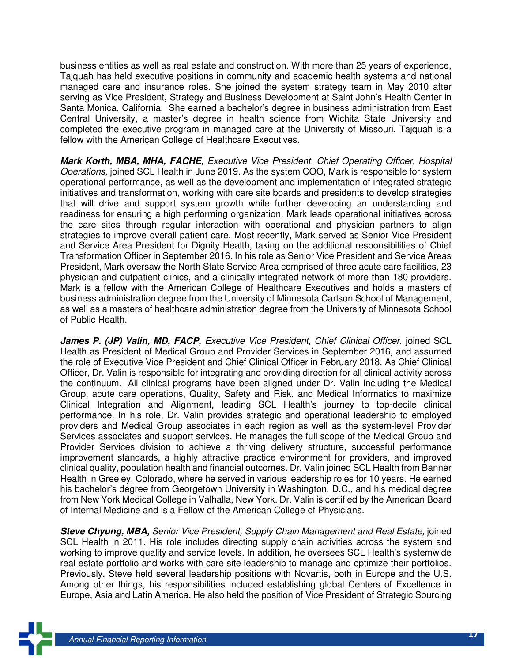business entities as well as real estate and construction. With more than 25 years of experience, Tajquah has held executive positions in community and academic health systems and national managed care and insurance roles. She joined the system strategy team in May 2010 after serving as Vice President, Strategy and Business Development at Saint John's Health Center in Santa Monica, California. She earned a bachelor's degree in business administration from East Central University, a master's degree in health science from Wichita State University and completed the executive program in managed care at the University of Missouri. Tajquah is a fellow with the American College of Healthcare Executives.

**Mark Korth, MBA, MHA, FACHE**, Executive Vice President, Chief Operating Officer, Hospital Operations, joined SCL Health in June 2019. As the system COO, Mark is responsible for system operational performance, as well as the development and implementation of integrated strategic initiatives and transformation, working with care site boards and presidents to develop strategies that will drive and support system growth while further developing an understanding and readiness for ensuring a high performing organization. Mark leads operational initiatives across the care sites through regular interaction with operational and physician partners to align strategies to improve overall patient care. Most recently, Mark served as Senior Vice President and Service Area President for Dignity Health, taking on the additional responsibilities of Chief Transformation Officer in September 2016. In his role as Senior Vice President and Service Areas President, Mark oversaw the North State Service Area comprised of three acute care facilities, 23 physician and outpatient clinics, and a clinically integrated network of more than 180 providers. Mark is a fellow with the American College of Healthcare Executives and holds a masters of business administration degree from the University of Minnesota Carlson School of Management, as well as a masters of healthcare administration degree from the University of Minnesota School of Public Health.

James P. (JP) Valin, MD, FACP, Executive Vice President, Chief Clinical Officer, joined SCL Health as President of Medical Group and Provider Services in September 2016, and assumed the role of Executive Vice President and Chief Clinical Officer in February 2018. As Chief Clinical Officer, Dr. Valin is responsible for integrating and providing direction for all clinical activity across the continuum. All clinical programs have been aligned under Dr. Valin including the Medical Group, acute care operations, Quality, Safety and Risk, and Medical Informatics to maximize Clinical Integration and Alignment, leading SCL Health's journey to top-decile clinical performance. In his role, Dr. Valin provides strategic and operational leadership to employed providers and Medical Group associates in each region as well as the system-level Provider Services associates and support services. He manages the full scope of the Medical Group and Provider Services division to achieve a thriving delivery structure, successful performance improvement standards, a highly attractive practice environment for providers, and improved clinical quality, population health and financial outcomes. Dr. Valin joined SCL Health from Banner Health in Greeley, Colorado, where he served in various leadership roles for 10 years. He earned his bachelor's degree from Georgetown University in Washington, D.C., and his medical degree from New York Medical College in Valhalla, New York. Dr. Valin is certified by the American Board of Internal Medicine and is a Fellow of the American College of Physicians.

**Steve Chyung, MBA,** Senior Vice President, Supply Chain Management and Real Estate, joined SCL Health in 2011. His role includes directing supply chain activities across the system and working to improve quality and service levels. In addition, he oversees SCL Health's systemwide real estate portfolio and works with care site leadership to manage and optimize their portfolios. Previously, Steve held several leadership positions with Novartis, both in Europe and the U.S. Among other things, his responsibilities included establishing global Centers of Excellence in Europe, Asia and Latin America. He also held the position of Vice President of Strategic Sourcing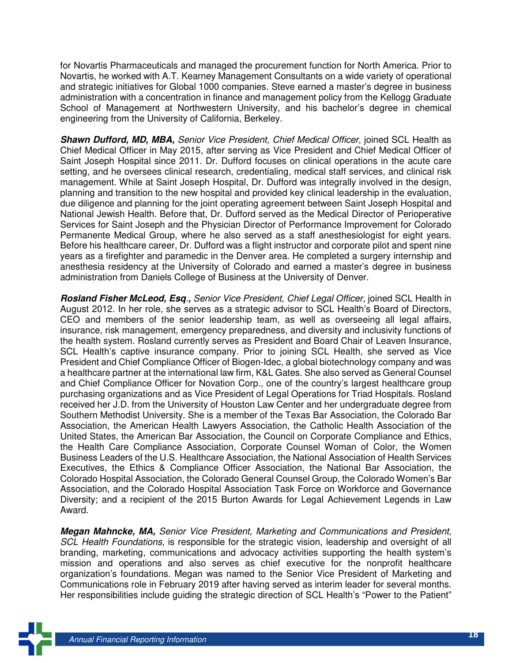for Novartis Pharmaceuticals and managed the procurement function for North America. Prior to Novartis, he worked with A.T. Kearney Management Consultants on a wide variety of operational and strategic initiatives for Global 1000 companies. Steve earned a master's degree in business administration with a concentration in finance and management policy from the Kellogg Graduate School of Management at Northwestern University, and his bachelor's degree in chemical engineering from the University of California, Berkeley.

**Shawn Dufford, MD, MBA,** Senior Vice President, Chief Medical Officer, joined SCL Health as Chief Medical Officer in May 2015, after serving as Vice President and Chief Medical Officer of Saint Joseph Hospital since 2011. Dr. Dufford focuses on clinical operations in the acute care setting, and he oversees clinical research, credentialing, medical staff services, and clinical risk management. While at Saint Joseph Hospital, Dr. Dufford was integrally involved in the design, planning and transition to the new hospital and provided key clinical leadership in the evaluation, due diligence and planning for the joint operating agreement between Saint Joseph Hospital and National Jewish Health. Before that, Dr. Dufford served as the Medical Director of Perioperative Services for Saint Joseph and the Physician Director of Performance Improvement for Colorado Permanente Medical Group, where he also served as a staff anesthesiologist for eight years. Before his healthcare career, Dr. Dufford was a flight instructor and corporate pilot and spent nine years as a firefighter and paramedic in the Denver area. He completed a surgery internship and anesthesia residency at the University of Colorado and earned a master's degree in business administration from Daniels College of Business at the University of Denver.

**Rosland Fisher McLeod, Esq**.**,** Senior Vice President, Chief Legal Officer, joined SCL Health in August 2012. In her role, she serves as a strategic advisor to SCL Health's Board of Directors, CEO and members of the senior leadership team, as well as overseeing all legal affairs, insurance, risk management, emergency preparedness, and diversity and inclusivity functions of the health system. Rosland currently serves as President and Board Chair of Leaven Insurance, SCL Health's captive insurance company. Prior to joining SCL Health, she served as Vice President and Chief Compliance Officer of Biogen-Idec, a global biotechnology company and was a healthcare partner at the international law firm, K&L Gates. She also served as General Counsel and Chief Compliance Officer for Novation Corp., one of the country's largest healthcare group purchasing organizations and as Vice President of Legal Operations for Triad Hospitals. Rosland received her J.D. from the University of Houston Law Center and her undergraduate degree from Southern Methodist University. She is a member of the Texas Bar Association, the Colorado Bar Association, the American Health Lawyers Association, the Catholic Health Association of the United States, the American Bar Association, the Council on Corporate Compliance and Ethics, the Health Care Compliance Association, Corporate Counsel Woman of Color, the Women Business Leaders of the U.S. Healthcare Association, the National Association of Health Services Executives, the Ethics & Compliance Officer Association, the National Bar Association, the Colorado Hospital Association, the Colorado General Counsel Group, the Colorado Women's Bar Association, and the Colorado Hospital Association Task Force on Workforce and Governance Diversity; and a recipient of the 2015 Burton Awards for Legal Achievement Legends in Law Award.

**Megan Mahncke, MA,** Senior Vice President, Marketing and Communications and President, SCL Health Foundations, is responsible for the strategic vision, leadership and oversight of all branding, marketing, communications and advocacy activities supporting the health system's mission and operations and also serves as chief executive for the nonprofit healthcare organization's foundations. Megan was named to the Senior Vice President of Marketing and Communications role in February 2019 after having served as interim leader for several months. Her responsibilities include guiding the strategic direction of SCL Health's "Power to the Patient"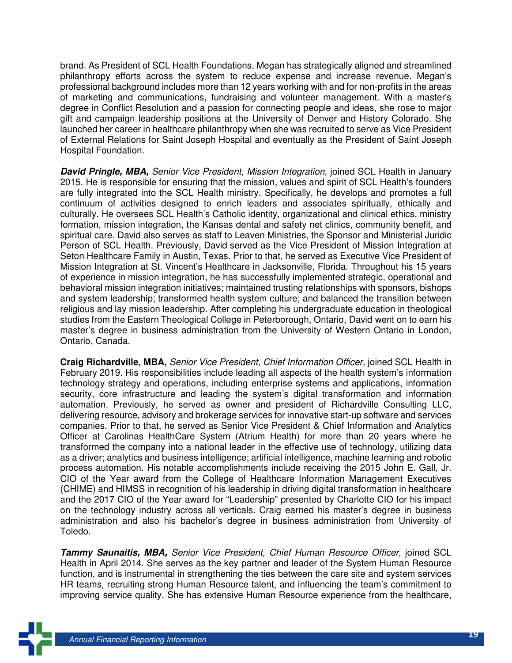brand. As President of SCL Health Foundations, Megan has strategically aligned and streamlined philanthropy efforts across the system to reduce expense and increase revenue. Megan's professional background includes more than 12 years working with and for non-profits in the areas of marketing and communications, fundraising and volunteer management. With a master's degree in Conflict Resolution and a passion for connecting people and ideas, she rose to major gift and campaign leadership positions at the University of Denver and History Colorado. She launched her career in healthcare philanthropy when she was recruited to serve as Vice President of External Relations for Saint Joseph Hospital and eventually as the President of Saint Joseph Hospital Foundation.

**David Pringle, MBA,** Senior Vice President, Mission Integration, joined SCL Health in January 2015. He is responsible for ensuring that the mission, values and spirit of SCL Health's founders are fully integrated into the SCL Health ministry. Specifically, he develops and promotes a full continuum of activities designed to enrich leaders and associates spiritually, ethically and culturally. He oversees SCL Health's Catholic identity, organizational and clinical ethics, ministry formation, mission integration, the Kansas dental and safety net clinics, community benefit, and spiritual care. David also serves as staff to Leaven Ministries, the Sponsor and Ministerial Juridic Person of SCL Health. Previously, David served as the Vice President of Mission Integration at Seton Healthcare Family in Austin, Texas. Prior to that, he served as Executive Vice President of Mission Integration at St. Vincent's Healthcare in Jacksonville, Florida. Throughout his 15 years of experience in mission integration, he has successfully implemented strategic, operational and behavioral mission integration initiatives; maintained trusting relationships with sponsors, bishops and system leadership; transformed health system culture; and balanced the transition between religious and lay mission leadership. After completing his undergraduate education in theological studies from the Eastern Theological College in Peterborough, Ontario, David went on to earn his master's degree in business administration from the University of Western Ontario in London, Ontario, Canada.

**Craig Richardville, MBA,** Senior Vice President, Chief Information Officer, joined SCL Health in February 2019. His responsibilities include leading all aspects of the health system's information technology strategy and operations, including enterprise systems and applications, information security, core infrastructure and leading the system's digital transformation and information automation. Previously, he served as owner and president of Richardville Consulting LLC, delivering resource, advisory and brokerage services for innovative start-up software and services companies. Prior to that, he served as Senior Vice President & Chief Information and Analytics Officer at Carolinas HealthCare System (Atrium Health) for more than 20 years where he transformed the company into a national leader in the effective use of technology, utilizing data as a driver; analytics and business intelligence; artificial intelligence, machine learning and robotic process automation. His notable accomplishments include receiving the 2015 John E. Gall, Jr. CIO of the Year award from the College of Healthcare Information Management Executives (CHIME) and HIMSS in recognition of his leadership in driving digital transformation in healthcare and the 2017 CIO of the Year award for "Leadership" presented by Charlotte CIO for his impact on the technology industry across all verticals. Craig earned his master's degree in business administration and also his bachelor's degree in business administration from University of Toledo.

**Tammy Saunaitis, MBA,** Senior Vice President, Chief Human Resource Officer, joined SCL Health in April 2014. She serves as the key partner and leader of the System Human Resource function, and is instrumental in strengthening the ties between the care site and system services HR teams, recruiting strong Human Resource talent, and influencing the team's commitment to improving service quality. She has extensive Human Resource experience from the healthcare,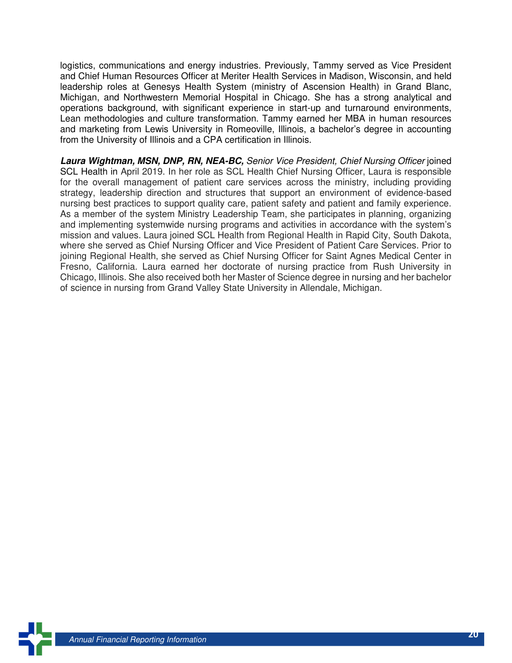logistics, communications and energy industries. Previously, Tammy served as Vice President and Chief Human Resources Officer at Meriter Health Services in Madison, Wisconsin, and held leadership roles at Genesys Health System (ministry of Ascension Health) in Grand Blanc, Michigan, and Northwestern Memorial Hospital in Chicago. She has a strong analytical and operations background, with significant experience in start-up and turnaround environments, Lean methodologies and culture transformation. Tammy earned her MBA in human resources and marketing from Lewis University in Romeoville, Illinois, a bachelor's degree in accounting from the University of Illinois and a CPA certification in Illinois.

**Laura Wightman, MSN, DNP, RN, NEA-BC,** Senior Vice President, Chief Nursing Officer joined SCL Health in April 2019. In her role as SCL Health Chief Nursing Officer, Laura is responsible for the overall management of patient care services across the ministry, including providing strategy, leadership direction and structures that support an environment of evidence-based nursing best practices to support quality care, patient safety and patient and family experience. As a member of the system Ministry Leadership Team, she participates in planning, organizing and implementing systemwide nursing programs and activities in accordance with the system's mission and values. Laura joined SCL Health from Regional Health in Rapid City, South Dakota, where she served as Chief Nursing Officer and Vice President of Patient Care Services. Prior to joining Regional Health, she served as Chief Nursing Officer for Saint Agnes Medical Center in Fresno, California. Laura earned her doctorate of nursing practice from Rush University in Chicago, Illinois. She also received both her Master of Science degree in nursing and her bachelor of science in nursing from Grand Valley State University in Allendale, Michigan.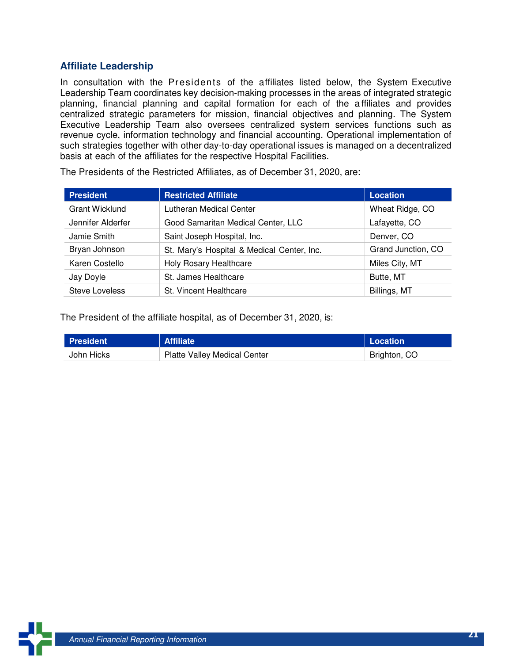#### **Affiliate Leadership**

In consultation with the Presidents of the affiliates listed below, the System Executive Leadership Team coordinates key decision-making processes in the areas of integrated strategic planning, financial planning and capital formation for each of the a ffiliates and provides centralized strategic parameters for mission, financial objectives and planning. The System Executive Leadership Team also oversees centralized system services functions such as revenue cycle, information technology and financial accounting. Operational implementation of such strategies together with other day-to-day operational issues is managed on a decentralized basis at each of the affiliates for the respective Hospital Facilities.

| <b>President</b>      | <b>Restricted Affiliate</b>                | <b>Location</b>    |
|-----------------------|--------------------------------------------|--------------------|
| <b>Grant Wicklund</b> | Lutheran Medical Center                    | Wheat Ridge, CO    |
| Jennifer Alderfer     | Good Samaritan Medical Center, LLC         | Lafayette, CO      |
| Jamie Smith           | Saint Joseph Hospital, Inc.                | Denver, CO         |
| Bryan Johnson         | St. Mary's Hospital & Medical Center, Inc. | Grand Junction, CO |
| Karen Costello        | <b>Holy Rosary Healthcare</b>              | Miles City, MT     |
| Jay Doyle             | St. James Healthcare                       | Butte, MT          |
| <b>Steve Loveless</b> | St. Vincent Healthcare                     | Billings, MT       |

The Presidents of the Restricted Affiliates, as of December 31, 2020, are:

The President of the affiliate hospital, as of December 31, 2020, is:

| <b>President</b> | <b>Affiliate</b>                    | Location     |
|------------------|-------------------------------------|--------------|
| John Hicks       | <b>Platte Valley Medical Center</b> | Brighton, CO |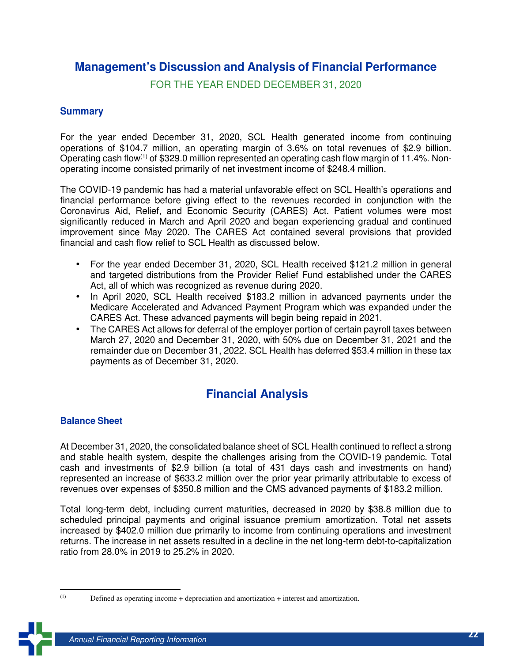### **Management's Discussion and Analysis of Financial Performance**

FOR THE YEAR ENDED DECEMBER 31, 2020

#### **Summary**

For the year ended December 31, 2020, SCL Health generated income from continuing operations of \$104.7 million, an operating margin of 3.6% on total revenues of \$2.9 billion. Operating cash flow(1) of \$329.0 million represented an operating cash flow margin of 11.4%. Nonoperating income consisted primarily of net investment income of \$248.4 million.

The COVID-19 pandemic has had a material unfavorable effect on SCL Health's operations and financial performance before giving effect to the revenues recorded in conjunction with the Coronavirus Aid, Relief, and Economic Security (CARES) Act. Patient volumes were most significantly reduced in March and April 2020 and began experiencing gradual and continued improvement since May 2020. The CARES Act contained several provisions that provided financial and cash flow relief to SCL Health as discussed below.

- For the year ended December 31, 2020, SCL Health received \$121.2 million in general and targeted distributions from the Provider Relief Fund established under the CARES Act, all of which was recognized as revenue during 2020.
- In April 2020, SCL Health received \$183.2 million in advanced payments under the Medicare Accelerated and Advanced Payment Program which was expanded under the CARES Act. These advanced payments will begin being repaid in 2021.
- The CARES Act allows for deferral of the employer portion of certain payroll taxes between March 27, 2020 and December 31, 2020, with 50% due on December 31, 2021 and the remainder due on December 31, 2022. SCL Health has deferred \$53.4 million in these tax payments as of December 31, 2020.

### **Financial Analysis**

#### **Balance Sheet**

At December 31, 2020, the consolidated balance sheet of SCL Health continued to reflect a strong and stable health system, despite the challenges arising from the COVID-19 pandemic. Total cash and investments of \$2.9 billion (a total of 431 days cash and investments on hand) represented an increase of \$633.2 million over the prior year primarily attributable to excess of revenues over expenses of \$350.8 million and the CMS advanced payments of \$183.2 million.

Total long-term debt, including current maturities, decreased in 2020 by \$38.8 million due to scheduled principal payments and original issuance premium amortization. Total net assets increased by \$402.0 million due primarily to income from continuing operations and investment returns. The increase in net assets resulted in a decline in the net long-term debt-to-capitalization ratio from 28.0% in 2019 to 25.2% in 2020.

 $(1)$ 

Defined as operating income + depreciation and amortization + interest and amortization.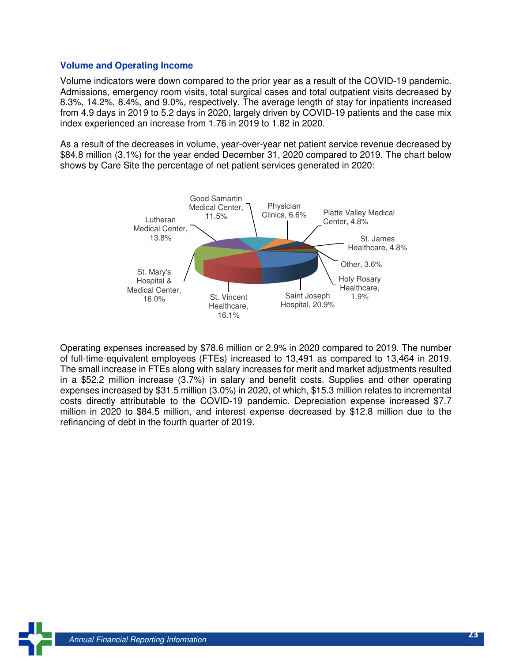#### **Volume and Operating Income**

Volume indicators were down compared to the prior year as a result of the COVID-19 pandemic. Admissions, emergency room visits, total surgical cases and total outpatient visits decreased by 8.3%, 14.2%, 8.4%, and 9.0%, respectively. The average length of stay for inpatients increased from 4.9 days in 2019 to 5.2 days in 2020, largely driven by COVID-19 patients and the case mix index experienced an increase from 1.76 in 2019 to 1.82 in 2020.

As a result of the decreases in volume, year-over-year net patient service revenue decreased by \$84.8 million (3.1%) for the year ended December 31, 2020 compared to 2019. The chart below shows by Care Site the percentage of net patient services generated in 2020:



Operating expenses increased by \$78.6 million or 2.9% in 2020 compared to 2019. The number of full-time-equivalent employees (FTEs) increased to 13,491 as compared to 13,464 in 2019. The small increase in FTEs along with salary increases for merit and market adjustments resulted in a \$52.2 million increase (3.7%) in salary and benefit costs. Supplies and other operating expenses increased by \$31.5 million (3.0%) in 2020, of which, \$15.3 million relates to incremental costs directly attributable to the COVID-19 pandemic. Depreciation expense increased \$7.7 million in 2020 to \$84.5 million, and interest expense decreased by \$12.8 million due to the refinancing of debt in the fourth quarter of 2019.

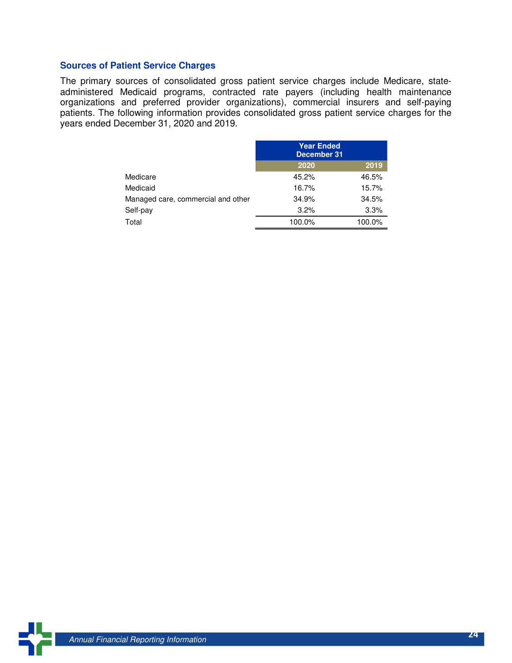#### **Sources of Patient Service Charges**

The primary sources of consolidated gross patient service charges include Medicare, stateadministered Medicaid programs, contracted rate payers (including health maintenance organizations and preferred provider organizations), commercial insurers and self-paying patients. The following information provides consolidated gross patient service charges for the years ended December 31, 2020 and 2019.

|                                    | <b>Year Ended</b><br>December 31 |        |
|------------------------------------|----------------------------------|--------|
|                                    | 2020                             | 2019   |
| Medicare                           | 45.2%                            | 46.5%  |
| Medicaid                           | 16.7%                            | 15.7%  |
| Managed care, commercial and other | 34.9%                            | 34.5%  |
| Self-pay                           | 3.2%                             | 3.3%   |
| Total                              | 100.0%                           | 100.0% |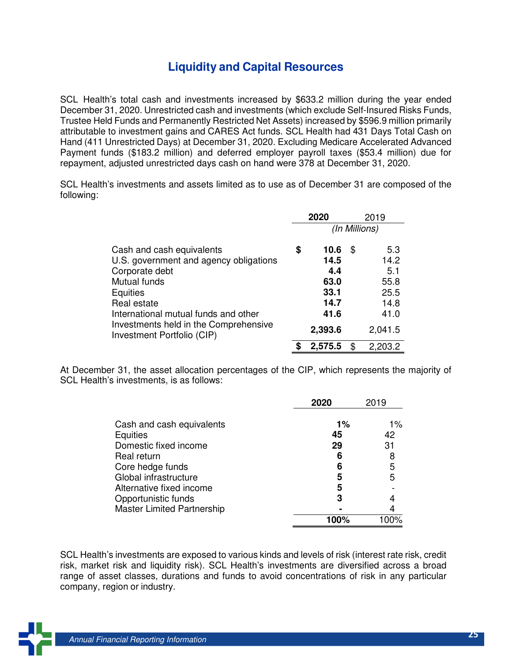### **Liquidity and Capital Resources**

SCL Health's total cash and investments increased by \$633.2 million during the year ended December 31, 2020. Unrestricted cash and investments (which exclude Self-Insured Risks Funds, Trustee Held Funds and Permanently Restricted Net Assets) increased by \$596.9 million primarily attributable to investment gains and CARES Act funds. SCL Health had 431 Days Total Cash on Hand (411 Unrestricted Days) at December 31, 2020. Excluding Medicare Accelerated Advanced Payment funds (\$183.2 million) and deferred employer payroll taxes (\$53.4 million) due for repayment, adjusted unrestricted days cash on hand were 378 at December 31, 2020.

SCL Health's investments and assets limited as to use as of December 31 are composed of the following:

|                                                                                                                                                                                                                                                 | 2020<br>2019  |                                                                |    |                                                               |
|-------------------------------------------------------------------------------------------------------------------------------------------------------------------------------------------------------------------------------------------------|---------------|----------------------------------------------------------------|----|---------------------------------------------------------------|
|                                                                                                                                                                                                                                                 | (In Millions) |                                                                |    |                                                               |
| Cash and cash equivalents<br>U.S. government and agency obligations<br>Corporate debt<br>Mutual funds<br>Equities<br>Real estate<br>International mutual funds and other<br>Investments held in the Comprehensive<br>Investment Portfolio (CIP) | \$            | 10.6<br>14.5<br>4.4<br>63.0<br>33.1<br>14.7<br>41.6<br>2,393.6 | \$ | 5.3<br>14.2<br>5.1<br>55.8<br>25.5<br>14.8<br>41.0<br>2,041.5 |
|                                                                                                                                                                                                                                                 |               | 2,575.5                                                        | \$ | 2,203.2                                                       |

At December 31, the asset allocation percentages of the CIP, which represents the majority of SCL Health's investments, is as follows:

| 2020                                       | 2019                             |
|--------------------------------------------|----------------------------------|
| $1\%$<br>45<br>29<br>6<br>6<br>5<br>5<br>3 | $1\%$<br>42<br>31<br>8<br>5<br>5 |
|                                            |                                  |
|                                            | 100%                             |

SCL Health's investments are exposed to various kinds and levels of risk (interest rate risk, credit risk, market risk and liquidity risk). SCL Health's investments are diversified across a broad range of asset classes, durations and funds to avoid concentrations of risk in any particular company, region or industry.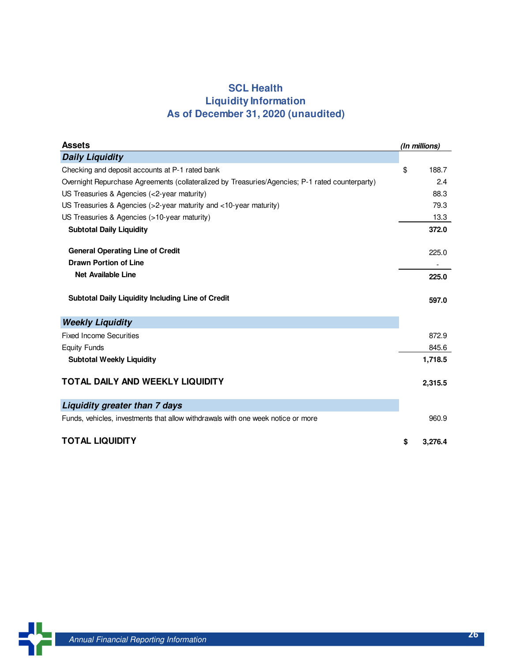### **SCL Health Liquidity Information As of December 31, 2020 (unaudited)**

| <b>Assets</b>                                                                                   | (In millions) |
|-------------------------------------------------------------------------------------------------|---------------|
| <b>Daily Liquidity</b>                                                                          |               |
| Checking and deposit accounts at P-1 rated bank                                                 | \$<br>188.7   |
| Overnight Repurchase Agreements (collateralized by Treasuries/Agencies; P-1 rated counterparty) | 2.4           |
| US Treasuries & Agencies (<2-year maturity)                                                     | 88.3          |
| US Treasuries & Agencies ( $>2$ -year maturity and $<10$ -year maturity)                        | 79.3          |
| US Treasuries & Agencies (>10-year maturity)                                                    | 13.3          |
| <b>Subtotal Daily Liquidity</b>                                                                 | 372.0         |
| <b>General Operating Line of Credit</b>                                                         | 225.0         |
| <b>Drawn Portion of Line</b>                                                                    |               |
| <b>Net Available Line</b>                                                                       | 225.0         |
| Subtotal Daily Liquidity Including Line of Credit                                               | 597.0         |
| <b>Weekly Liquidity</b>                                                                         |               |
| <b>Fixed Income Securities</b>                                                                  | 872.9         |
| <b>Equity Funds</b>                                                                             | 845.6         |
| <b>Subtotal Weekly Liquidity</b>                                                                | 1,718.5       |
| TOTAL DAILY AND WEEKLY LIQUIDITY                                                                | 2,315.5       |
| Liquidity greater than 7 days                                                                   |               |
| Funds, vehicles, investments that allow withdrawals with one week notice or more                | 960.9         |
| <b>TOTAL LIQUIDITY</b>                                                                          | \$<br>3,276.4 |

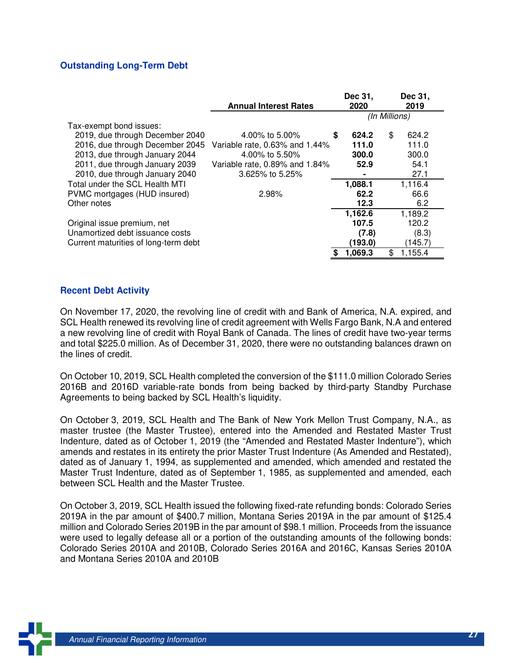#### **Outstanding Long-Term Debt**

|                                      | <b>Annual Interest Rates</b>   | Dec 31,<br>2020 | Dec 31,<br>2019 |
|--------------------------------------|--------------------------------|-----------------|-----------------|
|                                      |                                | (In Millions)   |                 |
| Tax-exempt bond issues:              |                                |                 |                 |
| 2019, due through December 2040      | 4.00% to 5.00%                 | \$<br>624.2     | \$<br>624.2     |
| 2016, due through December 2045      | Variable rate, 0.63% and 1.44% | 111.0           | 111.0           |
| 2013, due through January 2044       | 4.00% to 5.50%                 | 300.0           | 300.0           |
| 2011, due through January 2039       | Variable rate, 0.89% and 1.84% | 52.9            | 54.1            |
| 2010, due through January 2040       | 3.625% to 5.25%                |                 | 27.1            |
| Total under the SCL Health MTI       |                                | 1,088.1         | 1,116.4         |
| PVMC mortgages (HUD insured)         | 2.98%                          | 62.2            | 66.6            |
| Other notes                          |                                | 12.3            | 6.2             |
|                                      |                                | 1,162.6         | 1,189.2         |
| Original issue premium, net          |                                | 107.5           | 120.2           |
| Unamortized debt issuance costs      |                                | (7.8)           | (8.3)           |
| Current maturities of long-term debt |                                | (193.0)         | (145.7)         |
|                                      |                                | 1,069.3         | \$<br>1,155.4   |

#### **Recent Debt Activity**

On November 17, 2020, the revolving line of credit with and Bank of America, N.A. expired, and SCL Health renewed its revolving line of credit agreement with Wells Fargo Bank, N.A and entered a new revolving line of credit with Royal Bank of Canada. The lines of credit have two-year terms and total \$225.0 million. As of December 31, 2020, there were no outstanding balances drawn on the lines of credit.

On October 10, 2019, SCL Health completed the conversion of the \$111.0 million Colorado Series 2016B and 2016D variable-rate bonds from being backed by third-party Standby Purchase Agreements to being backed by SCL Health's liquidity.

On October 3, 2019, SCL Health and The Bank of New York Mellon Trust Company, N.A., as master trustee (the Master Trustee), entered into the Amended and Restated Master Trust Indenture, dated as of October 1, 2019 (the "Amended and Restated Master Indenture"), which amends and restates in its entirety the prior Master Trust Indenture (As Amended and Restated), dated as of January 1, 1994, as supplemented and amended, which amended and restated the Master Trust Indenture, dated as of September 1, 1985, as supplemented and amended, each between SCL Health and the Master Trustee.

On October 3, 2019, SCL Health issued the following fixed-rate refunding bonds: Colorado Series 2019A in the par amount of \$400.7 million, Montana Series 2019A in the par amount of \$125.4 million and Colorado Series 2019B in the par amount of \$98.1 million. Proceeds from the issuance were used to legally defease all or a portion of the outstanding amounts of the following bonds: Colorado Series 2010A and 2010B, Colorado Series 2016A and 2016C, Kansas Series 2010A and Montana Series 2010A and 2010B

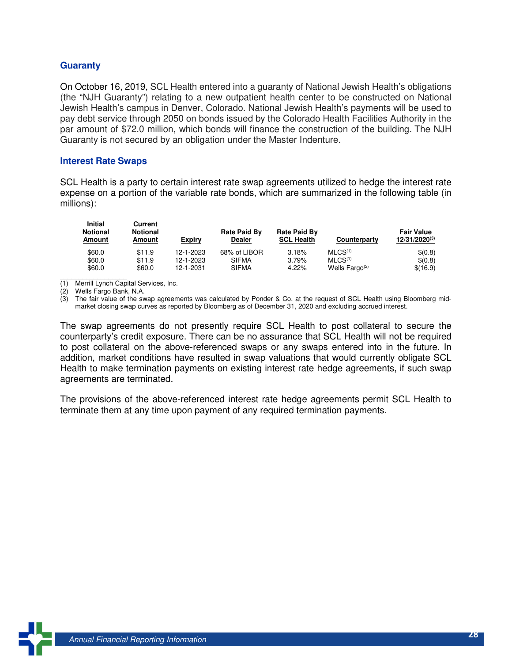#### **Guaranty**

On October 16, 2019, SCL Health entered into a guaranty of National Jewish Health's obligations (the "NJH Guaranty") relating to a new outpatient health center to be constructed on National Jewish Health's campus in Denver, Colorado. National Jewish Health's payments will be used to pay debt service through 2050 on bonds issued by the Colorado Health Facilities Authority in the par amount of \$72.0 million, which bonds will finance the construction of the building. The NJH Guaranty is not secured by an obligation under the Master Indenture.

#### **Interest Rate Swaps**

SCL Health is a party to certain interest rate swap agreements utilized to hedge the interest rate expense on a portion of the variable rate bonds, which are summarized in the following table (in millions):

| <b>Initial</b><br><b>Notional</b><br>Amount | Current<br>Notional<br>Amount | Expiry    | <b>Rate Paid By</b><br><b>Dealer</b> | Rate Paid By<br><b>SCL Health</b> | Counterparty        | <b>Fair Value</b><br>$12/31/2020^{(3)}$ |
|---------------------------------------------|-------------------------------|-----------|--------------------------------------|-----------------------------------|---------------------|-----------------------------------------|
| \$60.0                                      | \$11.9                        | 12-1-2023 | 68% of LIBOR                         | 3.18%                             | MLCS <sup>(1)</sup> | \$(0.8)                                 |
| \$60.0                                      | \$11.9                        | 12-1-2023 | <b>SIFMA</b>                         | 3.79%                             | MLCS <sup>(1)</sup> | \$(0.8)                                 |
| \$60.0                                      | \$60.0                        | 12-1-2031 | <b>SIFMA</b>                         | 4.22%                             | Wells $Faro^{(2)}$  | \$(16.9)                                |

 $\overline{\phantom{a}}$  ,  $\overline{\phantom{a}}$  ,  $\overline{\phantom{a}}$  ,  $\overline{\phantom{a}}$  ,  $\overline{\phantom{a}}$  ,  $\overline{\phantom{a}}$  ,  $\overline{\phantom{a}}$  ,  $\overline{\phantom{a}}$  ,  $\overline{\phantom{a}}$  ,  $\overline{\phantom{a}}$  ,  $\overline{\phantom{a}}$  ,  $\overline{\phantom{a}}$  ,  $\overline{\phantom{a}}$  ,  $\overline{\phantom{a}}$  ,  $\overline{\phantom{a}}$  ,  $\overline{\phantom{a}}$ (1) Merrill Lynch Capital Services, Inc.

(2) Wells Fargo Bank, N.A.

(3) The fair value of the swap agreements was calculated by Ponder & Co. at the request of SCL Health using Bloomberg midmarket closing swap curves as reported by Bloomberg as of December 31, 2020 and excluding accrued interest.

The swap agreements do not presently require SCL Health to post collateral to secure the counterparty's credit exposure. There can be no assurance that SCL Health will not be required to post collateral on the above-referenced swaps or any swaps entered into in the future. In addition, market conditions have resulted in swap valuations that would currently obligate SCL Health to make termination payments on existing interest rate hedge agreements, if such swap agreements are terminated.

The provisions of the above-referenced interest rate hedge agreements permit SCL Health to terminate them at any time upon payment of any required termination payments.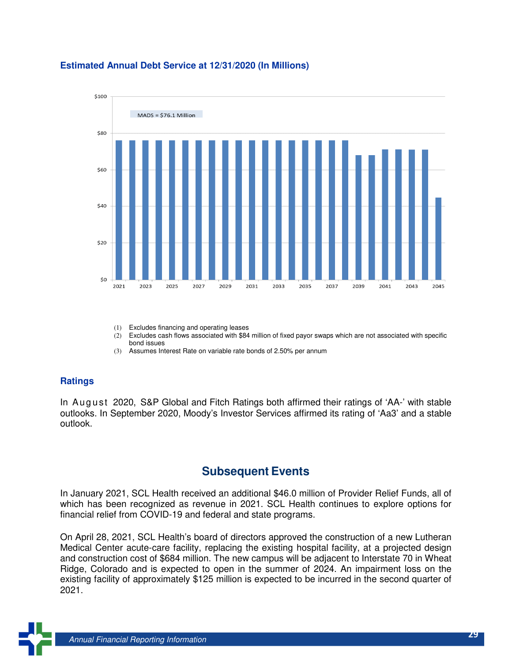

#### **Estimated Annual Debt Service at 12/31/2020 (In Millions)**

- (1) Excludes financing and operating leases
- (2) Excludes cash flows associated with \$84 million of fixed payor swaps which are not associated with specific bond issues
- (3) Assumes Interest Rate on variable rate bonds of 2.50% per annum

#### **Ratings**

In August 2020, S&P Global and Fitch Ratings both affirmed their ratings of 'AA-' with stable outlooks. In September 2020, Moody's Investor Services affirmed its rating of 'Aa3' and a stable outlook.

### **Subsequent Events**

In January 2021, SCL Health received an additional \$46.0 million of Provider Relief Funds, all of which has been recognized as revenue in 2021. SCL Health continues to explore options for financial relief from COVID-19 and federal and state programs.

On April 28, 2021, SCL Health's board of directors approved the construction of a new Lutheran Medical Center acute-care facility, replacing the existing hospital facility, at a projected design and construction cost of \$684 million. The new campus will be adjacent to Interstate 70 in Wheat Ridge, Colorado and is expected to open in the summer of 2024. An impairment loss on the existing facility of approximately \$125 million is expected to be incurred in the second quarter of 2021.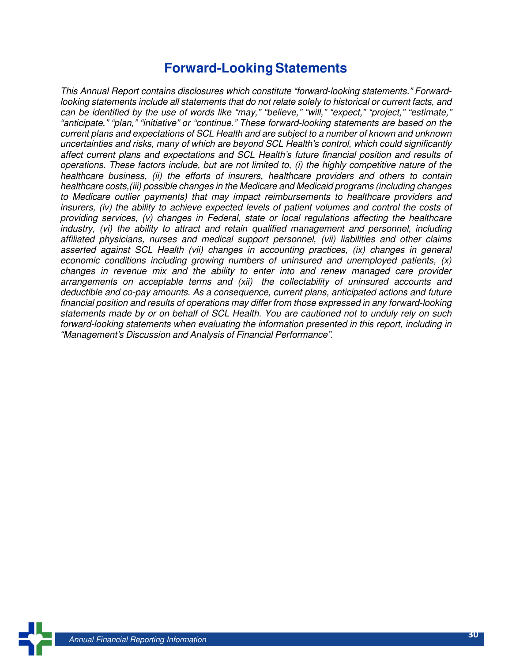# **Forward-Looking Statements**

This Annual Report contains disclosures which constitute "forward-looking statements." Forwardlooking statements include all statements that do not relate solely to historical or current facts, and can be identified by the use of words like "may," "believe," "will," "expect," "project," "estimate," "anticipate," "plan," "initiative" or "continue." These forward-looking statements are based on the current plans and expectations of SCL Health and are subject to a number of known and unknown uncertainties and risks, many of which are beyond SCL Health's control, which could significantly affect current plans and expectations and SCL Health's future financial position and results of operations. These factors include, but are not limited to, (i) the highly competitive nature of the healthcare business, (ii) the efforts of insurers, healthcare providers and others to contain healthcare costs,(iii) possible changes in the Medicare and Medicaid programs (including changes to Medicare outlier payments) that may impact reimbursements to healthcare providers and insurers, (iv) the ability to achieve expected levels of patient volumes and control the costs of providing services, (v) changes in Federal, state or local regulations affecting the healthcare industry, (vi) the ability to attract and retain qualified management and personnel, including affiliated physicians, nurses and medical support personnel, (vii) liabilities and other claims asserted against SCL Health (vii) changes in accounting practices, (ix) changes in general economic conditions including growing numbers of uninsured and unemployed patients. (x) changes in revenue mix and the ability to enter into and renew managed care provider arrangements on acceptable terms and (xii) the collectability of uninsured accounts and deductible and co-pay amounts. As a consequence, current plans, anticipated actions and future financial position and results of operations may differ from those expressed in any forward-looking statements made by or on behalf of SCL Health. You are cautioned not to unduly rely on such forward-looking statements when evaluating the information presented in this report, including in "Management's Discussion and Analysis of Financial Performance".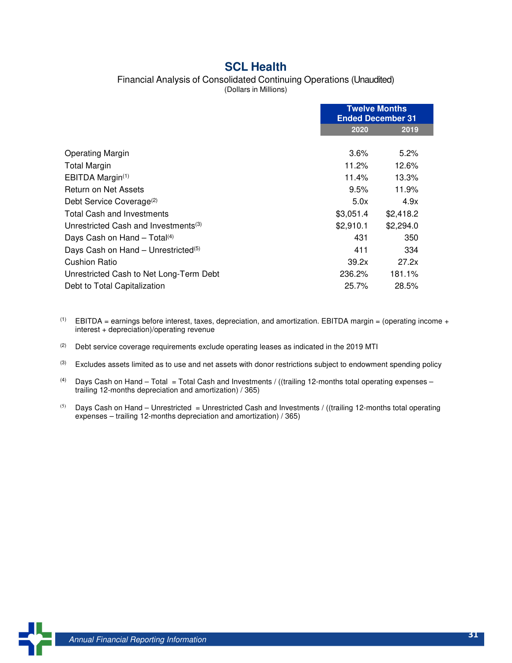### **SCL Health**

#### Financial Analysis of Consolidated Continuing Operations (Unaudited)

(Dollars in Millions)

|                                                  | <b>Twelve Months</b><br><b>Ended December 31</b> |           |
|--------------------------------------------------|--------------------------------------------------|-----------|
|                                                  | 2020                                             | 2019      |
|                                                  |                                                  |           |
| <b>Operating Margin</b>                          | $3.6\%$                                          | 5.2%      |
| <b>Total Margin</b>                              | 11.2%                                            | 12.6%     |
| EBITDA Margin <sup>(1)</sup>                     | 11.4%                                            | 13.3%     |
| Return on Net Assets                             | 9.5%                                             | 11.9%     |
| Debt Service Coverage <sup>(2)</sup>             | 5.0x                                             | 4.9x      |
| <b>Total Cash and Investments</b>                | \$3,051.4                                        | \$2,418.2 |
| Unrestricted Cash and Investments <sup>(3)</sup> | \$2,910.1                                        | \$2,294.0 |
| Days Cash on Hand - Total <sup>(4)</sup>         | 431                                              | 350       |
| Days Cash on Hand - Unrestricted <sup>(5)</sup>  | 411                                              | 334       |
| Cushion Ratio                                    | 39.2x                                            | 27.2x     |
| Unrestricted Cash to Net Long-Term Debt          | 236.2%                                           | 181.1%    |
| Debt to Total Capitalization                     | 25.7%                                            | 28.5%     |

- $(1)$  EBITDA = earnings before interest, taxes, depreciation, and amortization. EBITDA margin = (operating income + interest + depreciation)/operating revenue
- $(2)$  Debt service coverage requirements exclude operating leases as indicated in the 2019 MTI

<sup>(3)</sup> Excludes assets limited as to use and net assets with donor restrictions subject to endowment spending policy

- (4) Days Cash on Hand Total = Total Cash and Investments / ((trailing 12-months total operating expenses trailing 12-months depreciation and amortization) / 365)
- (5) Days Cash on Hand Unrestricted = Unrestricted Cash and Investments / ((trailing 12-months total operating expenses – trailing 12-months depreciation and amortization) / 365)